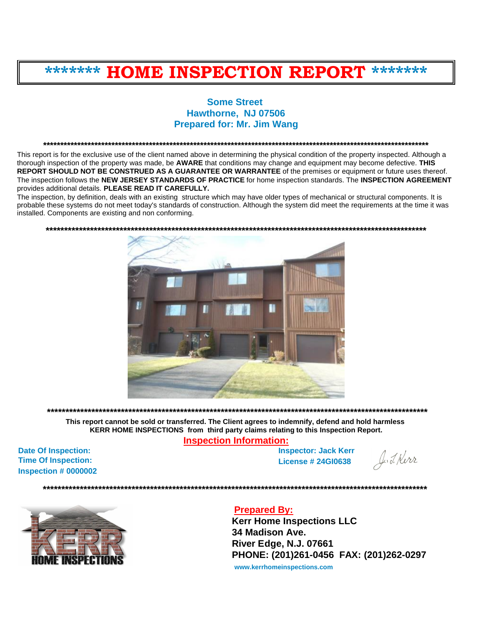# **\*\*\*\*\*\*\* HOME INSPECTION REPORT \*\*\*\*\*\*\***

# **Some Street Hawthorne, NJ 07506 Prepared for: Mr. Jim Wang**

**\*\*\*\*\*\*\*\*\*\*\*\*\*\*\*\*\*\*\*\*\*\*\*\*\*\*\*\*\*\*\*\*\*\*\*\*\*\*\*\*\*\*\*\*\*\*\*\*\*\*\*\*\*\*\*\*\*\*\*\*\*\*\*\*\*\*\*\*\*\*\*\*\*\*\*\*\*\*\*\*\*\*\*\*\*\*\*\*\*\*\*\*\*\*\*\*\*\*\*\*\*\*\*\*\*\*\*\*\*\*\*\*\***

This report is for the exclusive use of the client named above in determining the physical condition of the property inspected. Although a thorough inspection of the property was made, be **AWARE** that conditions may change and equipment may become defective. **THIS REPORT SHOULD NOT BE CONSTRUED AS A GUARANTEE OR WARRANTEE** of the premises or equipment or future uses thereof. The inspection follows the **NEW JERSEY STANDARDS OF PRACTICE** for home inspection standards. The **INSPECTION AGREEMENT** provides additional details. **PLEASE READ IT CAREFULLY.**

The inspection, by definition, deals with an existing structure which may have older types of mechanical or structural components. It is probable these systems do not meet today's standards of construction. Although the system did meet the requirements at the time it was installed. Components are existing and non conforming.



**\*\*\*\*\*\*\*\*\*\*\*\*\*\*\*\*\*\*\*\*\*\*\*\*\*\*\*\*\*\*\*\*\*\*\*\*\*\*\*\*\*\*\*\*\*\*\*\*\*\*\*\*\*\*\*\*\*\*\*\*\*\*\*\*\*\*\*\*\*\*\*\*\*\*\*\*\*\*\*\*\*\*\*\*\*\*\*\*\*\*\*\*\*\*\*\*\*\*\*\*\*\*\*** 

**This report cannot be sold or transferred. The Client agrees to indemnify, defend and hold harmless KERR HOME INSPECTIONS from third party claims relating to this Inspection Report.**

**Inspection Information:**

**Date Of Inspection: Time Of Inspection: Inspection # 0000002** 

**Inspector: Jack Kerr License # 24GI0638**

J. J. Kerr



# **Prepared By:**

**\*\*\*\*\*\*\*\*\*\*\*\*\*\*\*\*\*\*\*\*\*\*\*\*\*\*\*\*\*\*\*\*\*\*\*\*\*\*\*\*\*\*\*\*\*\*\*\*\*\*\*\*\*\*\*\*\*\*\*\*\*\*\*\*\*\*\*\*\*\*\*\*\*\*\*\*\*\*\*\*\*\*\*\*\*\*\*\*\*\*\*\*\*\*\*\*\*\*\*\*\*\*\*\***

**Kerr Home Inspections LLC 34 Madison Ave. River Edge, N.J. 07661 PHONE: (201)261-0456 FAX: (201)262-0297**

**<www.kerrhomeinspections.com>**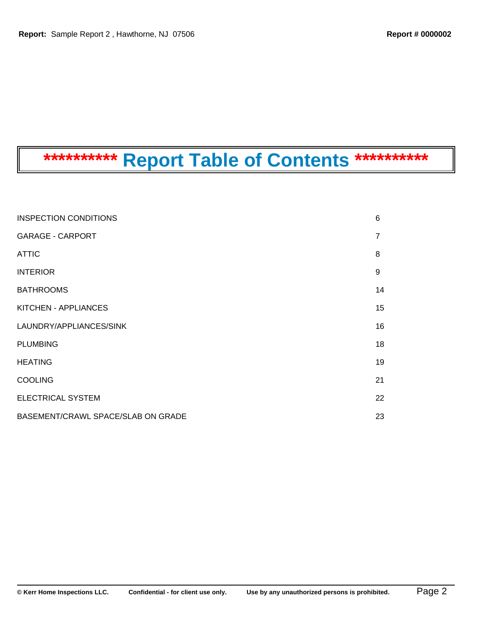# **\*\*\*\*\*\*\*\*\*\* Report Table of Contents \*\*\*\*\*\*\*\*\*\***

| <b>INSPECTION CONDITIONS</b>       | 6              |
|------------------------------------|----------------|
| <b>GARAGE - CARPORT</b>            | $\overline{7}$ |
| <b>ATTIC</b>                       | 8              |
| <b>INTERIOR</b>                    | 9              |
| <b>BATHROOMS</b>                   | 14             |
| KITCHEN - APPLIANCES               | 15             |
| LAUNDRY/APPLIANCES/SINK            | 16             |
| <b>PLUMBING</b>                    | 18             |
| <b>HEATING</b>                     | 19             |
| <b>COOLING</b>                     | 21             |
| <b>ELECTRICAL SYSTEM</b>           | 22             |
| BASEMENT/CRAWL SPACE/SLAB ON GRADE | 23             |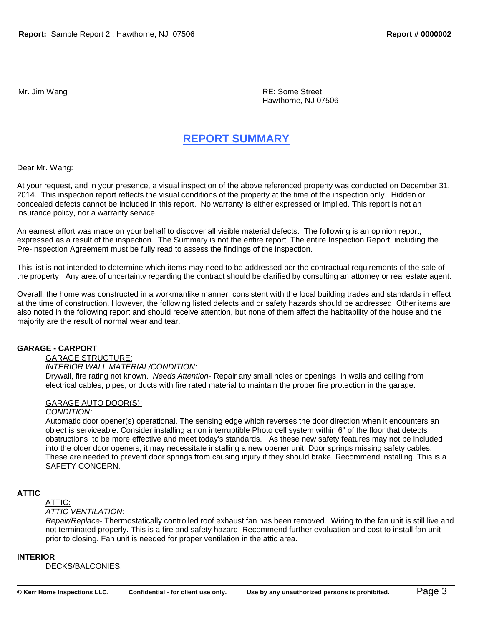Mr. Jim Wang **Reading Community Community** Community RE: Some Street Hawthorne, NJ 07506

# **REPORT SUMMARY**

Dear Mr. Wang:

At your request, and in your presence, a visual inspection of the above referenced property was conducted on December 31, 2014. This inspection report reflects the visual conditions of the property at the time of the inspection only. Hidden or concealed defects cannot be included in this report. No warranty is either expressed or implied. This report is not an insurance policy, nor a warranty service.

An earnest effort was made on your behalf to discover all visible material defects. The following is an opinion report, expressed as a result of the inspection. The Summary is not the entire report. The entire Inspection Report, including the Pre-Inspection Agreement must be fully read to assess the findings of the inspection.

This list is not intended to determine which items may need to be addressed per the contractual requirements of the sale of the property. Any area of uncertainty regarding the contract should be clarified by consulting an attorney or real estate agent.

Overall, the home was constructed in a workmanlike manner, consistent with the local building trades and standards in effect at the time of construction. However, the following listed defects and or safety hazards should be addressed. Other items are also noted in the following report and should receive attention, but none of them affect the habitability of the house and the majority are the result of normal wear and tear.

### **GARAGE - CARPORT**

### GARAGE STRUCTURE:

# *INTERIOR WALL MATERIAL/CONDITION:*

Drywall, fire rating not known. *Needs Attention*- Repair any small holes or openings in walls and ceiling from electrical cables, pipes, or ducts with fire rated material to maintain the proper fire protection in the garage.

### GARAGE AUTO DOOR(S):

#### *CONDITION:*

Automatic door opener(s) operational. The sensing edge which reverses the door direction when it encounters an object is serviceable. Consider installing a non interruptible Photo cell system within 6" of the floor that detects obstructions to be more effective and meet today's standards. As these new safety features may not be included into the older door openers, it may necessitate installing a new opener unit. Door springs missing safety cables. These are needed to prevent door springs from causing injury if they should brake. Recommend installing. This is a SAFETY CONCERN.

### **ATTIC**

ATTIC:

#### *ATTIC VENTILATION:*

*Repair/Replace*- Thermostatically controlled roof exhaust fan has been removed. Wiring to the fan unit is still live and not terminated properly. This is a fire and safety hazard. Recommend further evaluation and cost to install fan unit prior to closing. Fan unit is needed for proper ventilation in the attic area.

### **INTERIOR**

DECKS/BALCONIES: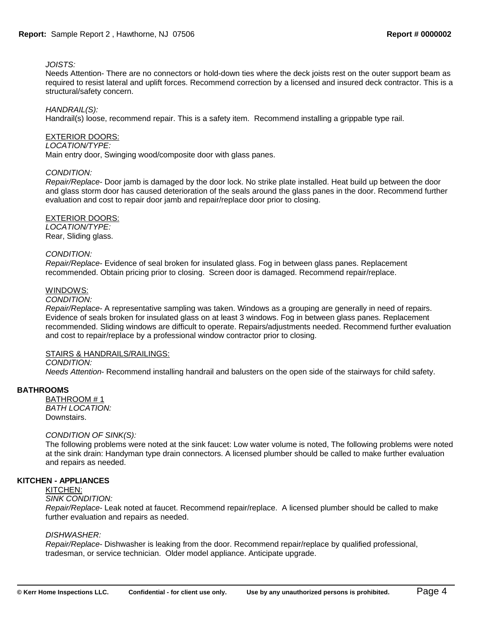## *JOISTS:*

Needs Attention- There are no connectors or hold-down ties where the deck joists rest on the outer support beam as required to resist lateral and uplift forces. Recommend correction by a licensed and insured deck contractor. This is a structural/safety concern.

### *HANDRAIL(S):*

Handrail(s) loose, recommend repair. This is a safety item. Recommend installing a grippable type rail.

### EXTERIOR DOORS:

#### *LOCATION/TYPE:*

Main entry door, Swinging wood/composite door with glass panes.

### *CONDITION:*

*Repair/Replace*- Door jamb is damaged by the door lock. No strike plate installed. Heat build up between the door and glass storm door has caused deterioration of the seals around the glass panes in the door. Recommend further evaluation and cost to repair door jamb and repair/replace door prior to closing.

### EXTERIOR DOORS:

*LOCATION/TYPE:*  Rear, Sliding glass.

#### *CONDITION:*

*Repair/Replace*- Evidence of seal broken for insulated glass. Fog in between glass panes. Replacement recommended. Obtain pricing prior to closing. Screen door is damaged. Recommend repair/replace.

### WINDOWS:

# *CONDITION:*

*Repair/Replace*- A representative sampling was taken. Windows as a grouping are generally in need of repairs. Evidence of seals broken for insulated glass on at least 3 windows. Fog in between glass panes. Replacement recommended. Sliding windows are difficult to operate. Repairs/adjustments needed. Recommend further evaluation and cost to repair/replace by a professional window contractor prior to closing.

### STAIRS & HANDRAILS/RAILINGS:

# *CONDITION:*

*Needs Attention*- Recommend installing handrail and balusters on the open side of the stairways for child safety.

### **BATHROOMS**

BATHROOM # 1 *BATH LOCATION:*  Downstairs.

#### *CONDITION OF SINK(S):*

The following problems were noted at the sink faucet: Low water volume is noted, The following problems were noted at the sink drain: Handyman type drain connectors. A licensed plumber should be called to make further evaluation and repairs as needed.

### **KITCHEN - APPLIANCES**

#### KITCHEN:

#### *SINK CONDITION:*

*Repair/Replace*- Leak noted at faucet. Recommend repair/replace. A licensed plumber should be called to make further evaluation and repairs as needed.

#### *DISHWASHER:*

*Repair/Replace*- Dishwasher is leaking from the door. Recommend repair/replace by qualified professional, tradesman, or service technician. Older model appliance. Anticipate upgrade.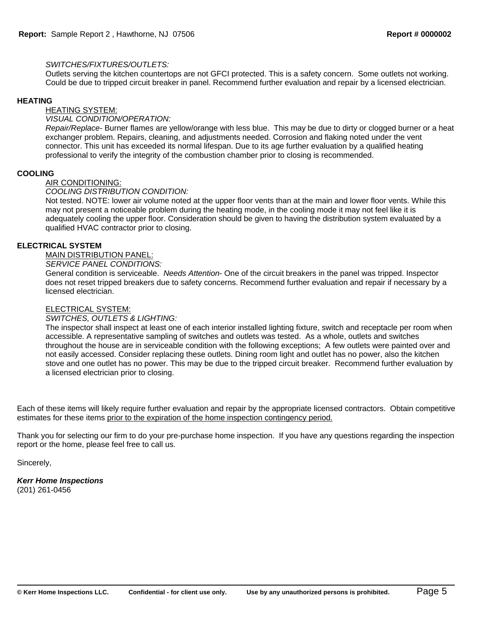# *SWITCHES/FIXTURES/OUTLETS:*

Outlets serving the kitchen countertops are not GFCI protected. This is a safety concern. Some outlets not working. Could be due to tripped circuit breaker in panel. Recommend further evaluation and repair by a licensed electrician.

# **HEATING**

HEATING SYSTEM:

## *VISUAL CONDITION/OPERATION:*

*Repair/Replace*- Burner flames are yellow/orange with less blue. This may be due to dirty or clogged burner or a heat exchanger problem. Repairs, cleaning, and adjustments needed. Corrosion and flaking noted under the vent connector. This unit has exceeded its normal lifespan. Due to its age further evaluation by a qualified heating professional to verify the integrity of the combustion chamber prior to closing is recommended.

# **COOLING**

# AIR CONDITIONING:

# *COOLING DISTRIBUTION CONDITION:*

Not tested. NOTE: lower air volume noted at the upper floor vents than at the main and lower floor vents. While this may not present a noticeable problem during the heating mode, in the cooling mode it may not feel like it is adequately cooling the upper floor. Consideration should be given to having the distribution system evaluated by a qualified HVAC contractor prior to closing.

# **ELECTRICAL SYSTEM**

# MAIN DISTRIBUTION PANEL:

# *SERVICE PANEL CONDITIONS:*

General condition is serviceable. *Needs Attention*- One of the circuit breakers in the panel was tripped. Inspector does not reset tripped breakers due to safety concerns. Recommend further evaluation and repair if necessary by a licensed electrician.

## ELECTRICAL SYSTEM:

# *SWITCHES, OUTLETS & LIGHTING:*

The inspector shall inspect at least one of each interior installed lighting fixture, switch and receptacle per room when accessible. A representative sampling of switches and outlets was tested. As a whole, outlets and switches throughout the house are in serviceable condition with the following exceptions; A few outlets were painted over and not easily accessed. Consider replacing these outlets. Dining room light and outlet has no power, also the kitchen stove and one outlet has no power. This may be due to the tripped circuit breaker. Recommend further evaluation by a licensed electrician prior to closing.

Each of these items will likely require further evaluation and repair by the appropriate licensed contractors. Obtain competitive estimates for these items prior to the expiration of the home inspection contingency period.

Thank you for selecting our firm to do your pre-purchase home inspection. If you have any questions regarding the inspection report or the home, please feel free to call us.

Sincerely,

*Kerr Home Inspections* (201) 261-0456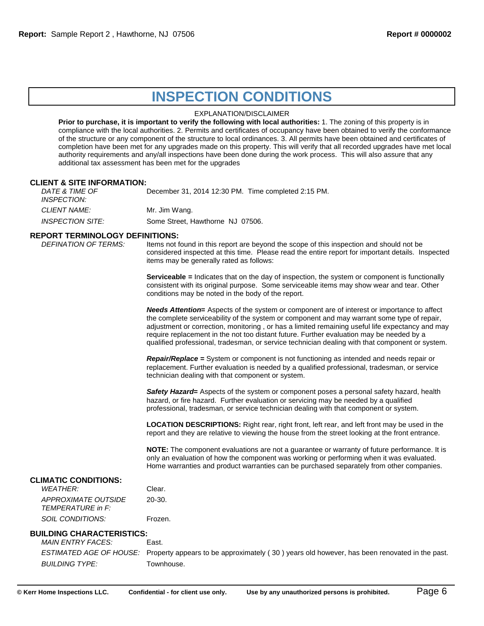# **INSPECTION CONDITIONS**

#### EXPLANATION/DISCLAIMER

**Prior to purchase, it is important to verify the following with local authorities:** 1. The zoning of this property is in compliance with the local authorities. 2. Permits and certificates of occupancy have been obtained to verify the conformance of the structure or any component of the structure to local ordinances. 3. All permits have been obtained and certificates of completion have been met for any upgrades made on this property. This will verify that all recorded upgrades have met local authority requirements and any/all inspections have been done during the work process. This will also assure that any additional tax assessment has been met for the upgrades

#### **CLIENT & SITE INFORMATION:**

*DATE & TIME OF INSPECTION:* December 31, 2014 12:30 PM. Time completed 2:15 PM. **CLIENT NAME:** Mr. Jim Wang. *INSPECTION SITE:* Some Street, Hawthorne NJ 07506.

# **REPORT TERMINOLOGY DEFINITIONS:**

Items not found in this report are beyond the scope of this inspection and should not be considered inspected at this time. Please read the entire report for important details. Inspected items may be generally rated as follows:

**Serviceable =** Indicates that on the day of inspection, the system or component is functionally consistent with its original purpose. Some serviceable items may show wear and tear. Other conditions may be noted in the body of the report.

*Needs Attention***=** Aspects of the system or component are of interest or importance to affect the complete serviceability of the system or component and may warrant some type of repair, adjustment or correction, monitoring , or has a limited remaining useful life expectancy and may require replacement in the not too distant future. Further evaluation may be needed by a qualified professional, tradesman, or service technician dealing with that component or system.

*Repair/Replace* **=** System or component is not functioning as intended and needs repair or replacement. Further evaluation is needed by a qualified professional, tradesman, or service technician dealing with that component or system.

*Safety Hazard***=** Aspects of the system or component poses a personal safety hazard, health hazard, or fire hazard. Further evaluation or servicing may be needed by a qualified professional, tradesman, or service technician dealing with that component or system.

**LOCATION DESCRIPTIONS:** Right rear, right front, left rear, and left front may be used in the report and they are relative to viewing the house from the street looking at the front entrance.

**NOTE:** The component evaluations are not a guarantee or warranty of future performance. It is only an evaluation of how the component was working or performing when it was evaluated. Home warranties and product warranties can be purchased separately from other companies.

#### **CLIMATIC CONDITIONS:**

| <i>WFATHFR:</i>     | Clear.  |
|---------------------|---------|
| APPROXIMATE OUTSIDE | 20-30.  |
| TEMPERATURE in F:   |         |
| SOIL CONDITIONS:    | Frozen. |

#### **BUILDING CHARACTERISTICS:**

*MAIN ENTRY FACES:* East. *ESTIMATED AGE OF HOUSE:* Property appears to be approximately ( 30 ) years old however, has been renovated in the past. *BUILDING TYPE:* Townhouse.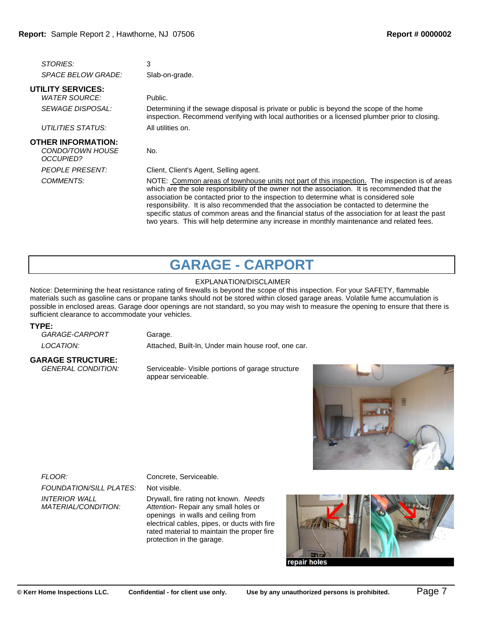| <b>STORIES:</b>                                                          | 3                                                                                                                                                                                                                                                                                                                                                                                                                                                                                          |
|--------------------------------------------------------------------------|--------------------------------------------------------------------------------------------------------------------------------------------------------------------------------------------------------------------------------------------------------------------------------------------------------------------------------------------------------------------------------------------------------------------------------------------------------------------------------------------|
| <i>SPACE BELOW GRADE:</i>                                                | Slab-on-grade.                                                                                                                                                                                                                                                                                                                                                                                                                                                                             |
| <b>UTILITY SERVICES:</b>                                                 |                                                                                                                                                                                                                                                                                                                                                                                                                                                                                            |
| <b>WATER SOURCE:</b>                                                     | Public.                                                                                                                                                                                                                                                                                                                                                                                                                                                                                    |
| <i>SEWAGE DISPOSAL:</i>                                                  | Determining if the sewage disposal is private or public is beyond the scope of the home<br>inspection. Recommend verifying with local authorities or a licensed plumber prior to closing.                                                                                                                                                                                                                                                                                                  |
| UTILITIES STATUS:                                                        | All utilities on.                                                                                                                                                                                                                                                                                                                                                                                                                                                                          |
| <b>OTHER INFORMATION:</b><br>CONDO/TOWN HOUSE<br><i><b>OCCUPIED?</b></i> | No.                                                                                                                                                                                                                                                                                                                                                                                                                                                                                        |
| <b>PEOPLE PRESENT:</b>                                                   | Client, Client's Agent, Selling agent.                                                                                                                                                                                                                                                                                                                                                                                                                                                     |
| COMMENTS:                                                                | NOTE: Common areas of townhouse units not part of this inspection. The inspection is of areas<br>which are the sole responsibility of the owner not the association. It is recommended that the<br>association be contacted prior to the inspection to determine what is considered sole<br>responsibility. It is also recommended that the association be contacted to determine the<br>specific status of common areas and the financial status of the association for at least the past |

# **GARAGE - CARPORT**

two years. This will help determine any increase in monthly maintenance and related fees.

### EXPLANATION/DISCLAIMER

Notice: Determining the heat resistance rating of firewalls is beyond the scope of this inspection. For your SAFETY, flammable materials such as gasoline cans or propane tanks should not be stored within closed garage areas. Volatile fume accumulation is possible in enclosed areas. Garage door openings are not standard, so you may wish to measure the opening to ensure that there is sufficient clearance to accommodate your vehicles.

#### **TYPE:**

| <i>GARAGE-CARPORT</i> |
|-----------------------|
| LOCATION:             |

Garage. Attached, Built-In, Under main house roof, one car.

# **GARAGE STRUCTURE:**

**Serviceable- Visible portions of garage structure** appear serviceable.



*FLOOR:* Concrete, Serviceable. *FOUNDATION/SILL PLATES:* Not visible. *INTERIOR WALL MATERIAL/CONDITION:*

Drywall, fire rating not known. *Needs Attention*- Repair any small holes or openings in walls and ceiling from electrical cables, pipes, or ducts with fire rated material to maintain the proper fire protection in the garage.



repair holes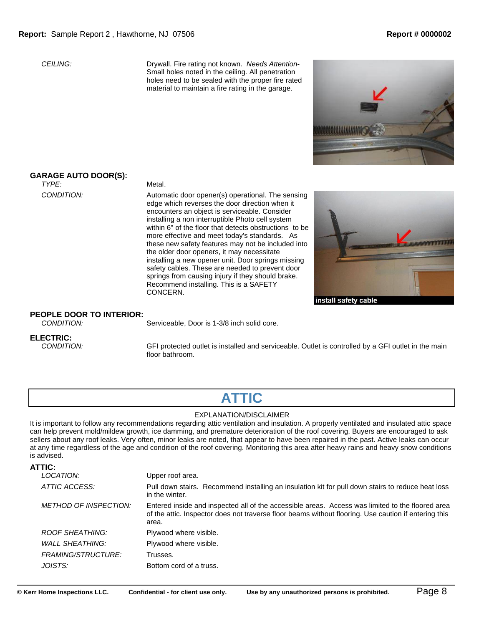*CEILING:* Drywall. Fire rating not known. *Needs Attention*-Small holes noted in the ceiling. All penetration holes need to be sealed with the proper fire rated material to maintain a fire rating in the garage.



# **GARAGE AUTO DOOR(S):**

*TYPE:* Metal.

*CONDITION:* Automatic door opener(s) operational. The sensing edge which reverses the door direction when it encounters an object is serviceable. Consider installing a non interruptible Photo cell system within 6" of the floor that detects obstructions to be more effective and meet today's standards. As these new safety features may not be included into the older door openers, it may necessitate installing a new opener unit. Door springs missing safety cables. These are needed to prevent door springs from causing injury if they should brake. Recommend installing. This is a SAFETY CONCERN.



#### install safety cable

### **PEOPLE DOOR TO INTERIOR:**

*CONDITION:* Serviceable, Door is 1-3/8 inch solid core.

# **ELECTRIC:**<br>CONDITION:

*CFI* protected outlet is installed and serviceable. Outlet is controlled by a GFI outlet in the main floor bathroom.

# **ATTIC**

#### EXPLANATION/DISCLAIMER

It is important to follow any recommendations regarding attic ventilation and insulation. A properly ventilated and insulated attic space can help prevent mold/mildew growth, ice damming, and premature deterioration of the roof covering. Buyers are encouraged to ask sellers about any roof leaks. Very often, minor leaks are noted, that appear to have been repaired in the past. Active leaks can occur at any time regardless of the age and condition of the roof covering. Monitoring this area after heavy rains and heavy snow conditions is advised.

| ATTIC:                       |                                                                                                                                                                                                                   |
|------------------------------|-------------------------------------------------------------------------------------------------------------------------------------------------------------------------------------------------------------------|
| LOCATION:                    | Upper roof area.                                                                                                                                                                                                  |
| ATTIC ACCESS:                | Pull down stairs. Recommend installing an insulation kit for pull down stairs to reduce heat loss<br>in the winter.                                                                                               |
| <i>METHOD OF INSPECTION:</i> | Entered inside and inspected all of the accessible areas. Access was limited to the floored area<br>of the attic. Inspector does not traverse floor beams without flooring. Use caution if entering this<br>area. |
| ROOF SHEATHING:              | Plywood where visible.                                                                                                                                                                                            |
| <b>WALL SHEATHING:</b>       | Plywood where visible.                                                                                                                                                                                            |
| <i>FRAMING/STRUCTURE:</i>    | Trusses.                                                                                                                                                                                                          |
| JOISTS:                      | Bottom cord of a truss.                                                                                                                                                                                           |
|                              |                                                                                                                                                                                                                   |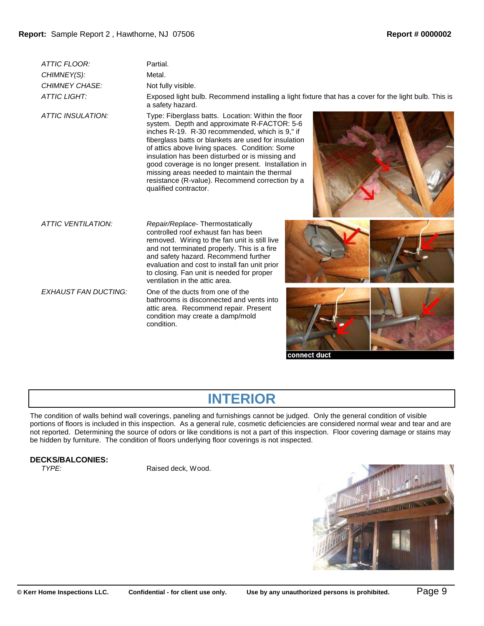| ATTIC FLOOR:                | Partial.                                                                                                                                                                                                                                                                                                                                                                                                                                                                                            |
|-----------------------------|-----------------------------------------------------------------------------------------------------------------------------------------------------------------------------------------------------------------------------------------------------------------------------------------------------------------------------------------------------------------------------------------------------------------------------------------------------------------------------------------------------|
| CHIMNEY(S):                 | Metal.                                                                                                                                                                                                                                                                                                                                                                                                                                                                                              |
| CHIMNEY CHASE:              | Not fully visible.                                                                                                                                                                                                                                                                                                                                                                                                                                                                                  |
| <b>ATTIC LIGHT:</b>         | Exposed light bulb. Recommend installing a light fixture that has a cover for the light bulb. This is<br>a safety hazard.                                                                                                                                                                                                                                                                                                                                                                           |
| ATTIC INSULATION:           | Type: Fiberglass batts. Location: Within the floor<br>system. Depth and approximate R-FACTOR: 5-6<br>inches R-19. R-30 recommended, which is 9," if<br>fiberglass batts or blankets are used for insulation<br>of attics above living spaces. Condition: Some<br>insulation has been disturbed or is missing and<br>good coverage is no longer present. Installation in<br>missing areas needed to maintain the thermal<br>resistance (R-value). Recommend correction by a<br>qualified contractor. |
| ATTIC VENTILATION:          | Repair/Replace-Thermostatically<br>controlled roof exhaust fan has been<br>removed. Wiring to the fan unit is still live<br>and not terminated properly. This is a fire<br>and safety hazard. Recommend further<br>evaluation and cost to install fan unit prior<br>to closing. Fan unit is needed for proper<br>ventilation in the attic area.                                                                                                                                                     |
| <b>EXHAUST FAN DUCTING:</b> | One of the ducts from one of the<br>bathrooms is disconnected and vents into<br>attic area. Recommend repair. Present<br>condition may create a damp/mold<br>condition.                                                                                                                                                                                                                                                                                                                             |

#### connect duct

# **INTERIOR**

The condition of walls behind wall coverings, paneling and furnishings cannot be judged. Only the general condition of visible portions of floors is included in this inspection. As a general rule, cosmetic deficiencies are considered normal wear and tear and are not reported. Determining the source of odors or like conditions is not a part of this inspection. Floor covering damage or stains may be hidden by furniture. The condition of floors underlying floor coverings is not inspected.

# **DECKS/BALCONIES:**

Raised deck, Wood.

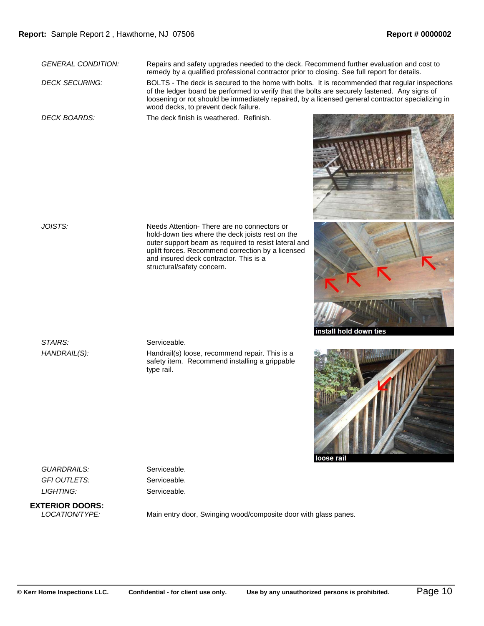*GENERAL CONDITION:* Repairs and safety upgrades needed to the deck. Recommend further evaluation and cost to remedy by a qualified professional contractor prior to closing. See full report for details.

*DECK SECURING:* BOLTS - The deck is secured to the home with bolts. It is recommended that regular inspections of the ledger board be performed to verify that the bolts are securely fastened. Any signs of loosening or rot should be immediately repaired, by a licensed general contractor specializing in wood decks, to prevent deck failure.

*DECK BOARDS:* The deck finish is weathered. Refinish.







*JOISTS:* Needs Attention- There are no connectors or hold-down ties where the deck joists rest on the outer support beam as required to resist lateral and uplift forces. Recommend correction by a licensed and insured deck contractor. This is a structural/safety concern.

STAIRS: Serviceable.

*HANDRAIL(S):* Handrail(s) loose, recommend repair. This is a safety item. Recommend installing a grippable type rail.

GUARDRAILS: Serviceable. GFI OUTLETS: Serviceable. *LIGHTING:* Serviceable.

**EXTERIOR DOORS:**

Main entry door, Swinging wood/composite door with glass panes.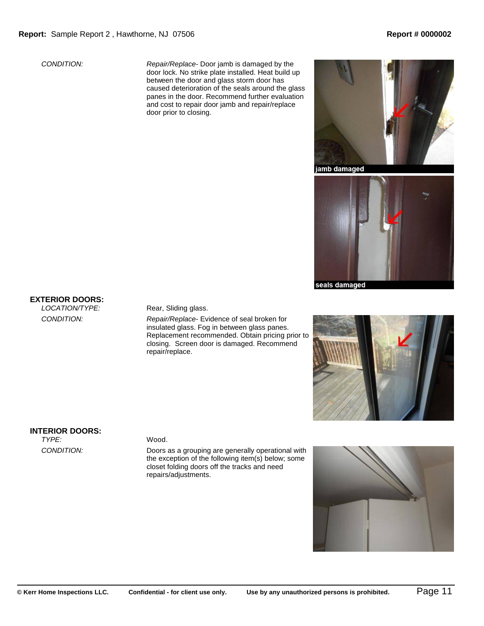*CONDITION: Repair/Replace*- Door jamb is damaged by the door lock. No strike plate installed. Heat build up between the door and glass storm door has caused deterioration of the seals around the glass panes in the door. Recommend further evaluation and cost to repair door jamb and repair/replace door prior to closing.



jamb damaged



**EXTERIOR DOORS:**

### Rear, Sliding glass.

*CONDITION: Repair/Replace*- Evidence of seal broken for insulated glass. Fog in between glass panes. Replacement recommended. Obtain pricing prior to closing. Screen door is damaged. Recommend repair/replace.



# **INTERIOR DOORS:**<br>TYPE:

#### Wood.

*CONDITION:* Doors as a grouping are generally operational with the exception of the following item(s) below; some closet folding doors off the tracks and need repairs/adjustments.

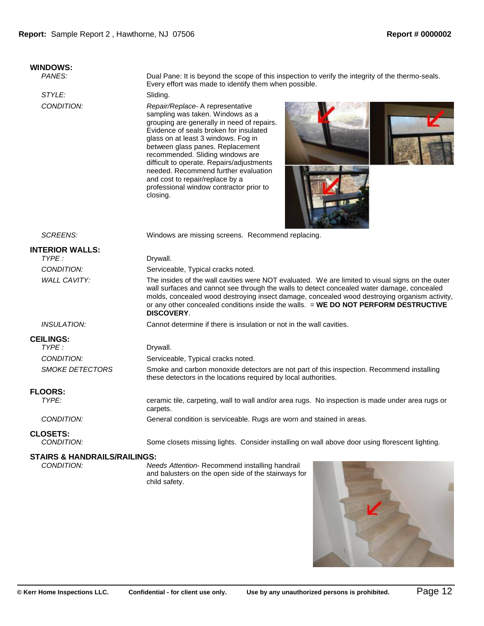# **WINDOWS:**

#### *Pane: It is beyond the scope of this inspection to verify the integrity of the thermo-seals.* Every effort was made to identify them when possible.

STYLE: Sliding.

*CONDITION: Repair/Replace*- A representative sampling was taken. Windows as a grouping are generally in need of repairs. Evidence of seals broken for insulated glass on at least 3 windows. Fog in between glass panes. Replacement recommended. Sliding windows are difficult to operate. Repairs/adjustments needed. Recommend further evaluation and cost to repair/replace by a professional window contractor prior to closing.





*SCREENS:* Windows are missing screens. Recommend replacing.

| <b>INTERIOR WALLS:</b>        |                                                                                                                                                                                                                                                                                                                                                                                                            |
|-------------------------------|------------------------------------------------------------------------------------------------------------------------------------------------------------------------------------------------------------------------------------------------------------------------------------------------------------------------------------------------------------------------------------------------------------|
| TYPE:                         | Drywall.                                                                                                                                                                                                                                                                                                                                                                                                   |
| CONDITION:                    | Serviceable, Typical cracks noted.                                                                                                                                                                                                                                                                                                                                                                         |
| <b>WALL CAVITY:</b>           | The insides of the wall cavities were NOT evaluated. We are limited to visual signs on the outer<br>wall surfaces and cannot see through the walls to detect concealed water damage, concealed<br>molds, concealed wood destroying insect damage, concealed wood destroying organism activity,<br>or any other concealed conditions inside the walls. = WE DO NOT PERFORM DESTRUCTIVE<br><b>DISCOVERY.</b> |
| <i><b>INSULATION:</b></i>     | Cannot determine if there is insulation or not in the wall cavities.                                                                                                                                                                                                                                                                                                                                       |
| <b>CEILINGS:</b>              |                                                                                                                                                                                                                                                                                                                                                                                                            |
| TYPE:                         | Drywall.                                                                                                                                                                                                                                                                                                                                                                                                   |
| CONDITION:                    | Serviceable, Typical cracks noted.                                                                                                                                                                                                                                                                                                                                                                         |
| <i><b>SMOKE DETECTORS</b></i> | Smoke and carbon monoxide detectors are not part of this inspection. Recommend installing<br>these detectors in the locations required by local authorities.                                                                                                                                                                                                                                               |
| <b>FLOORS:</b>                |                                                                                                                                                                                                                                                                                                                                                                                                            |
| TYPE:                         | ceramic tile, carpeting, wall to wall and/or area rugs. No inspection is made under area rugs or<br>carpets.                                                                                                                                                                                                                                                                                               |
| CONDITION:                    | General condition is serviceable. Rugs are worn and stained in areas.                                                                                                                                                                                                                                                                                                                                      |

# **CLOSETS:**<br>CONDITION:

Some closets missing lights. Consider installing on wall above door using florescent lighting.

### **STAIRS & HANDRAILS/RAILINGS:**

*CONDITION: Needs Attention*- Recommend installing handrail and balusters on the open side of the stairways for child safety.

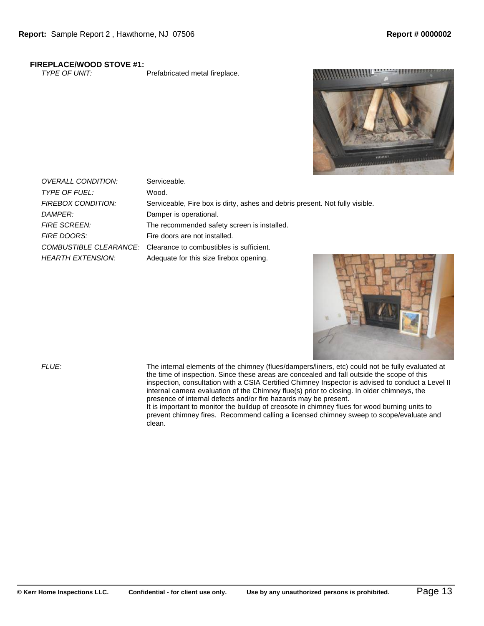# **FIREPLACE/WOOD STOVE #1:**<br>TYPE OF UNIT:

Prefabricated metal fireplace.



| <b>OVERALL CONDITION:</b> | Serviceable.                                                                 |
|---------------------------|------------------------------------------------------------------------------|
| <b>TYPE OF FUEL:</b>      | Wood.                                                                        |
| FIREBOX CONDITION:        | Serviceable, Fire box is dirty, ashes and debris present. Not fully visible. |
| DAMPFR:                   | Damper is operational.                                                       |
| <b>FIRE SCREEN:</b>       | The recommended safety screen is installed.                                  |
| <b>FIRE DOORS:</b>        | Fire doors are not installed.                                                |
|                           | COMBUSTIBLE CLEARANCE: Clearance to combustibles is sufficient.              |
| <b>HEARTH EXTENSION:</b>  | Adequate for this size firebox opening.                                      |



*FLUE:* The internal elements of the chimney (flues/dampers/liners, etc) could not be fully evaluated at the time of inspection. Since these areas are concealed and fall outside the scope of this inspection, consultation with a CSIA Certified Chimney Inspector is advised to conduct a Level II internal camera evaluation of the Chimney flue(s) prior to closing. In older chimneys, the presence of internal defects and/or fire hazards may be present.

It is important to monitor the buildup of creosote in chimney flues for wood burning units to prevent chimney fires. Recommend calling a licensed chimney sweep to scope/evaluate and clean.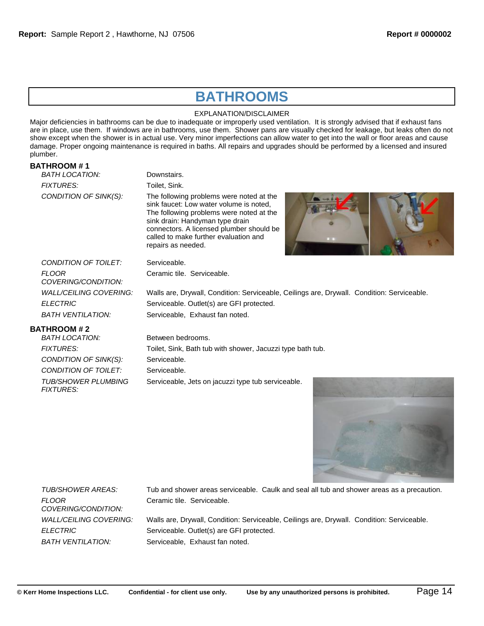# **BATHROOMS**

EXPLANATION/DISCLAIMER

Major deficiencies in bathrooms can be due to inadequate or improperly used ventilation. It is strongly advised that if exhaust fans are in place, use them. If windows are in bathrooms, use them. Shower pans are visually checked for leakage, but leaks often do not show except when the shower is in actual use. Very minor imperfections can allow water to get into the wall or floor areas and cause damage. Proper ongoing maintenance is required in baths. All repairs and upgrades should be performed by a licensed and insured plumber.

# **BATHROOM # 1**

| BATH LOCATION:                      | Downstairs.                                                                                                                                                                                                                                                                                 |
|-------------------------------------|---------------------------------------------------------------------------------------------------------------------------------------------------------------------------------------------------------------------------------------------------------------------------------------------|
| <b>FIXTURES:</b>                    | Toilet, Sink.                                                                                                                                                                                                                                                                               |
| CONDITION OF SINK(S):               | The following problems were noted at the<br>sink faucet: Low water volume is noted,<br>The following problems were noted at the<br>sink drain: Handyman type drain<br>connectors. A licensed plumber should be<br>called to make further evaluation and<br><b>D</b> 1<br>repairs as needed. |
| CONDITION OF TOILET:                | Serviceable.                                                                                                                                                                                                                                                                                |
| <b>FLOOR</b><br>COVERING/CONDITION: | Ceramic tile. Serviceable.                                                                                                                                                                                                                                                                  |
| WALL/CEILING COVERING:              | Walls are, Drywall, Condition: Serviceable, Ceilings are, Drywall. Condition: Serviceable.                                                                                                                                                                                                  |
| <b>ELECTRIC</b>                     | Serviceable. Outlet(s) are GFI protected.                                                                                                                                                                                                                                                   |
| <b>BATH VENTILATION:</b>            | Serviceable, Exhaust fan noted.                                                                                                                                                                                                                                                             |
|                                     |                                                                                                                                                                                                                                                                                             |

### **BATHROOM # 2**

| Between bedrooms.                                          |
|------------------------------------------------------------|
| Toilet, Sink, Bath tub with shower, Jacuzzi type bath tub. |
| Serviceable.                                               |
| Serviceable.                                               |
| Serviceable, Jets on jacuzzi type tub serviceable.         |
|                                                            |



*FLOOR COVERING/CONDITION:*

*TUB/SHOWER AREAS:* Tub and shower areas serviceable. Caulk and seal all tub and shower areas as a precaution. Ceramic tile. Serviceable.

*WALL/CEILING COVERING:* Walls are, Drywall, Condition: Serviceable, Ceilings are, Drywall. Condition: Serviceable. *ELECTRIC* Serviceable. Outlet(s) are GFI protected. *BATH VENTILATION:* Serviceable, Exhaust fan noted.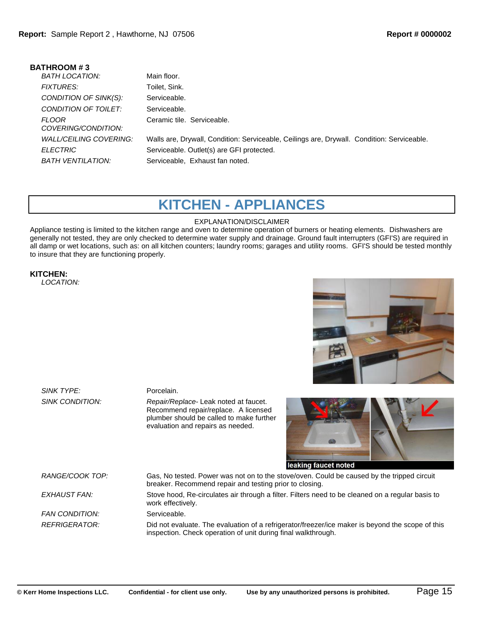| <b>BATHROOM#3</b>                   |                                                                                            |
|-------------------------------------|--------------------------------------------------------------------------------------------|
| BATH LOCATION:                      | Main floor.                                                                                |
| <b>FIXTURES:</b>                    | Toilet, Sink.                                                                              |
| CONDITION OF SINK(S):               | Serviceable.                                                                               |
| CONDITION OF TOILET:                | Serviceable.                                                                               |
| <b>FLOOR</b><br>COVERING/CONDITION: | Ceramic tile. Serviceable.                                                                 |
| WAI LCEILING COVERING:              | Walls are, Drywall, Condition: Serviceable, Ceilings are, Drywall. Condition: Serviceable. |
| <b>ELECTRIC</b>                     | Serviceable. Outlet(s) are GFI protected.                                                  |
| BATH VENTILATION:                   | Serviceable, Exhaust fan noted.                                                            |
|                                     |                                                                                            |

# **KITCHEN - APPLIANCES**

### EXPLANATION/DISCLAIMER

Appliance testing is limited to the kitchen range and oven to determine operation of burners or heating elements. Dishwashers are generally not tested, they are only checked to determine water supply and drainage. Ground fault interrupters (GFI'S) are required in all damp or wet locations, such as: on all kitchen counters; laundry rooms; garages and utility rooms. GFI'S should be tested monthly to insure that they are functioning properly.

## **KITCHEN:**

*LOCATION:*



*SINK TYPE:* Porcelain.

*SINK CONDITION: Repair/Replace*- Leak noted at faucet. Recommend repair/replace. A licensed plumber should be called to make further evaluation and repairs as needed.



leaking faucet noted

*RANGE/COOK TOP:* Gas, No tested. Power was not on to the stove/oven. Could be caused by the tripped circuit breaker. Recommend repair and testing prior to closing. *EXHAUST FAN:* Stove hood, Re-circulates air through a filter. Filters need to be cleaned on a regular basis to work effectively. **FAN CONDITION:** Serviceable. *REFRIGERATOR:* Did not evaluate. The evaluation of a refrigerator/freezer/ice maker is beyond the scope of this inspection. Check operation of unit during final walkthrough.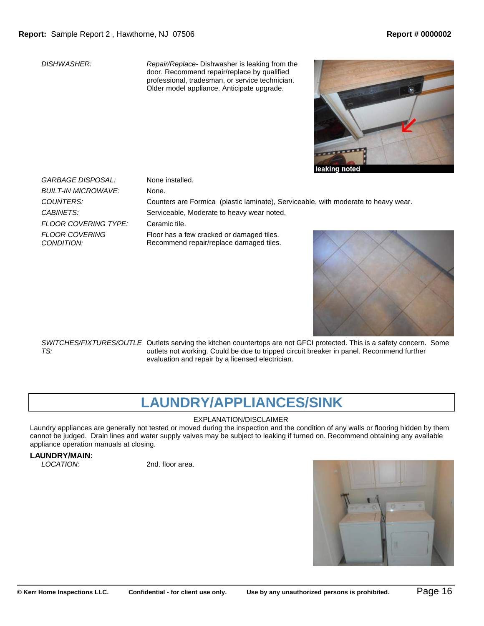*DISHWASHER: Repair/Replace*- Dishwasher is leaking from the door. Recommend repair/replace by qualified professional, tradesman, or service technician. Older model appliance. Anticipate upgrade.



*GARBAGE DISPOSAL:* None installed. *BUILT-IN MICROWAVE:* None. *FLOOR COVERING TYPE:* Ceramic tile. *FLOOR COVERING CONDITION:*

*COUNTERS:* Counters are Formica (plastic laminate), Serviceable, with moderate to heavy wear. CABINETS: Serviceable, Moderate to heavy wear noted.

Floor has a few cracked or damaged tiles. Recommend repair/replace damaged tiles.



SWITCHES/FIXTURES/OUTLE Outlets serving the kitchen countertops are not GFCI protected. This is a safety concern. Some *TS:* outlets not working. Could be due to tripped circuit breaker in panel. Recommend further evaluation and repair by a licensed electrician.

# **LAUNDRY/APPLIANCES/SINK**

### EXPLANATION/DISCLAIMER

Laundry appliances are generally not tested or moved during the inspection and the condition of any walls or flooring hidden by them cannot be judged. Drain lines and water supply valves may be subject to leaking if turned on. Recommend obtaining any available appliance operation manuals at closing.

# **LAUNDRY/MAIN:**

*LOCATION:* 2nd. floor area.

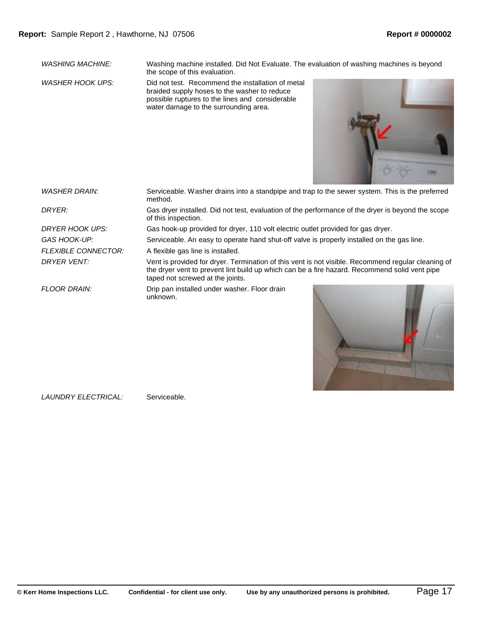*WASHING MACHINE:* Washing machine installed. Did Not Evaluate. The evaluation of washing machines is beyond the scope of this evaluation.

*WASHER HOOK UPS:* Did not test. Recommend the installation of metal braided supply hoses to the washer to reduce possible ruptures to the lines and considerable water damage to the surrounding area.



*WASHER DRAIN:* Serviceable. Washer drains into a standpipe and trap to the sewer system. This is the preferred method. *DRYER:* Gas dryer installed. Did not test, evaluation of the performance of the dryer is beyond the scope of this inspection. *DRYER HOOK UPS:* Gas hook-up provided for dryer, 110 volt electric outlet provided for gas dryer. GAS HOOK-UP: Serviceable. An easy to operate hand shut-off valve is properly installed on the gas line. *FLEXIBLE CONNECTOR:* A flexible gas line is installed. *DRYER VENT:* Vent is provided for dryer. Termination of this vent is not visible. Recommend regular cleaning of the dryer vent to prevent lint build up which can be a fire hazard. Recommend solid vent pipe taped not screwed at the joints. *FLOOR DRAIN:* Drip pan installed under washer. Floor drain unknown.



*LAUNDRY ELECTRICAL:* Serviceable.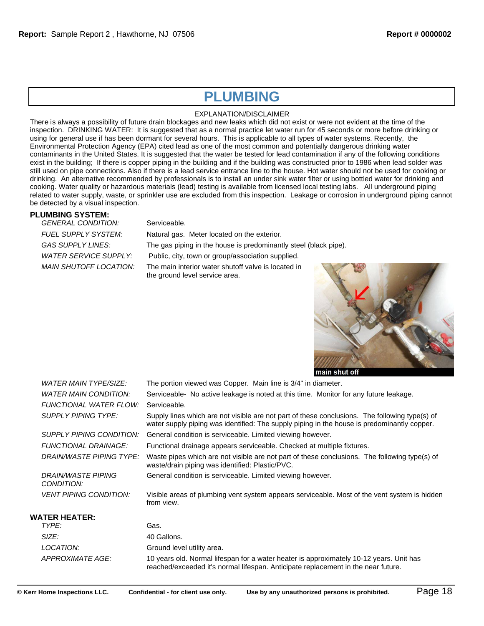# **PLUMBING**

#### EXPLANATION/DISCLAIMER

There is always a possibility of future drain blockages and new leaks which did not exist or were not evident at the time of the inspection. DRINKING WATER: It is suggested that as a normal practice let water run for 45 seconds or more before drinking or using for general use if has been dormant for several hours. This is applicable to all types of water systems. Recently, the Environmental Protection Agency (EPA) cited lead as one of the most common and potentially dangerous drinking water contaminants in the United States. It is suggested that the water be tested for lead contamination if any of the following conditions exist in the building; If there is copper piping in the building and if the building was constructed prior to 1986 when lead solder was still used on pipe connections. Also if there is a lead service entrance line to the house. Hot water should not be used for cooking or drinking. An alternative recommended by professionals is to install an under sink water filter or using bottled water for drinking and cooking. Water quality or hazardous materials (lead) testing is available from licensed local testing labs. All underground piping related to water supply, waste, or sprinkler use are excluded from this inspection. Leakage or corrosion in underground piping cannot be detected by a visual inspection.

### **PLUMBING SYSTEM:**

| <b>GENERAL CONDITION:</b>  | Serviceable.                                                                          |
|----------------------------|---------------------------------------------------------------------------------------|
| <b>FUEL SUPPLY SYSTEM:</b> | Natural gas. Meter located on the exterior.                                           |
| GAS SUPPLY LINES:          | The gas piping in the house is predominantly steel (black pipe).                      |
| WATER SERVICE SUPPLY:      | Public, city, town or group/association supplied.                                     |
| MAIN SHUTOFF LOCATION:     | The main interior water shutoff valve is located in<br>the ground level service area. |



| <i>WATER MAIN TYPE/SIZE:</i>     | The portion viewed was Copper. Main line is 3/4" in diameter.                                                                                                                                 |
|----------------------------------|-----------------------------------------------------------------------------------------------------------------------------------------------------------------------------------------------|
| WATER MAIN CONDITION:            | Serviceable- No active leakage is noted at this time. Monitor for any future leakage.                                                                                                         |
| FUNCTIONAL WATER FLOW:           | Serviceable.                                                                                                                                                                                  |
| SUPPLY PIPING TYPE:              | Supply lines which are not visible are not part of these conclusions. The following type(s) of<br>water supply piping was identified: The supply piping in the house is predominantly copper. |
| SUPPLY PIPING CONDITION:         | General condition is serviceable. Limited viewing however.                                                                                                                                    |
| <b>FUNCTIONAL DRAINAGE:</b>      | Functional drainage appears serviceable. Checked at multiple fixtures.                                                                                                                        |
| DRAIN/WASTE PIPING TYPE:         | Waste pipes which are not visible are not part of these conclusions. The following type(s) of<br>waste/drain piping was identified: Plastic/PVC.                                              |
| DRAIN/WASTE PIPING<br>CONDITION: | General condition is serviceable. Limited viewing however.                                                                                                                                    |
| <b>VENT PIPING CONDITION:</b>    | Visible areas of plumbing vent system appears serviceable. Most of the vent system is hidden<br>from view.                                                                                    |
| WATER HEATER:                    |                                                                                                                                                                                               |
| TYPE:                            | Gas.                                                                                                                                                                                          |
| SIZE:                            | 40 Gallons.                                                                                                                                                                                   |
| LOCATION:                        | Ground level utility area.                                                                                                                                                                    |
| APPROXIMATE AGE:                 | 10 years old. Normal lifespan for a water heater is approximately 10-12 years. Unit has                                                                                                       |

reached/exceeded it's normal lifespan. Anticipate replacement in the near future.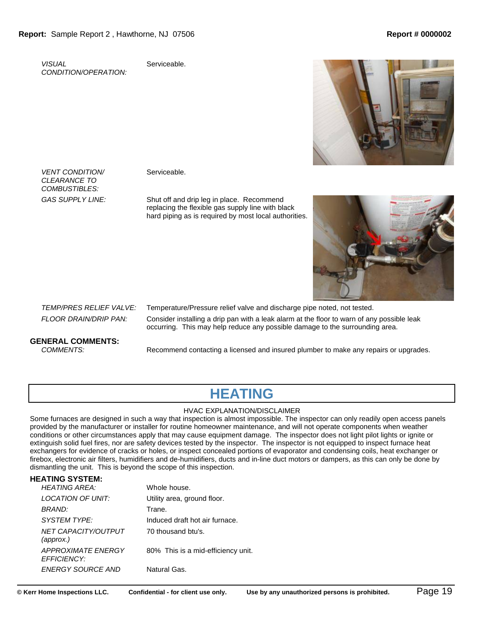*VISUAL CONDITION/OPERATION:* Serviceable.



*VENT CONDITION/ CLEARANCE TO COMBUSTIBLES:*

Serviceable.

*GAS SUPPLY LINE:* Shut off and drip leg in place. Recommend replacing the flexible gas supply line with black hard piping as is required by most local authorities.



*TEMP/PRES RELIEF VALVE:* Temperature/Pressure relief valve and discharge pipe noted, not tested. *FLOOR DRAIN/DRIP PAN:* Consider installing a drip pan with a leak alarm at the floor to warn of any possible leak occurring. This may help reduce any possible damage to the surrounding area.

## **GENERAL COMMENTS:**

*COMMENTS:* Recommend contacting a licensed and insured plumber to make any repairs or upgrades.

# **HEATING**

#### HVAC EXPLANATION/DISCLAIMER

Some furnaces are designed in such a way that inspection is almost impossible. The inspector can only readily open access panels provided by the manufacturer or installer for routine homeowner maintenance, and will not operate components when weather conditions or other circumstances apply that may cause equipment damage. The inspector does not light pilot lights or ignite or extinguish solid fuel fires, nor are safety devices tested by the inspector. The inspector is not equipped to inspect furnace heat exchangers for evidence of cracks or holes, or inspect concealed portions of evaporator and condensing coils, heat exchanger or firebox, electronic air filters, humidifiers and de-humidifiers, ducts and in-line duct motors or dampers, as this can only be done by dismantling the unit. This is beyond the scope of this inspection.

## **HEATING SYSTEM:**

| <b>HEATING AREA:</b>                            | Whole house.                       |
|-------------------------------------------------|------------------------------------|
| LOCATION OF UNIT:                               | Utility area, ground floor.        |
| BRAND:                                          | Trane.                             |
| SYSTEM TYPE:                                    | Induced draft hot air furnace.     |
| NET CAPACITY/OUTPUT<br>(approx.)                | 70 thousand btu's.                 |
| <b>APPROXIMATE ENERGY</b><br><b>EFFICIENCY:</b> | 80% This is a mid-efficiency unit. |
| ENERGY SOURCE AND                               | Natural Gas.                       |
|                                                 |                                    |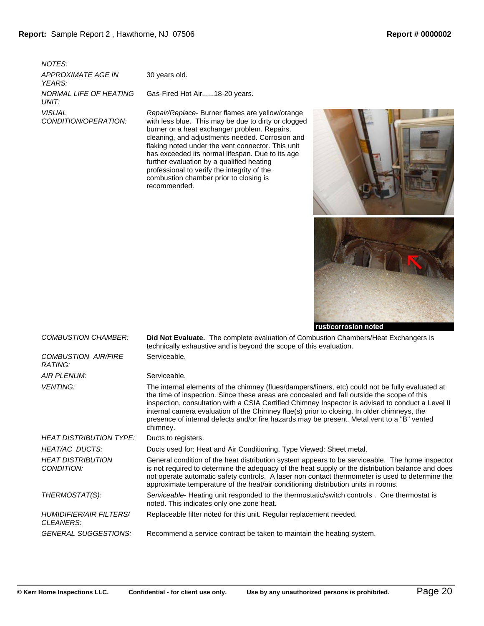*NOTES: APPROXIMATE AGE IN YEARS: NORMAL LIFE OF HEATING UNIT: VISUAL CONDITION/OPERATION:*

30 years old.

Gas-Fired Hot Air......18-20 years.

*Repair/Replace*- Burner flames are yellow/orange with less blue. This may be due to dirty or clogged burner or a heat exchanger problem. Repairs, cleaning, and adjustments needed. Corrosion and flaking noted under the vent connector. This unit has exceeded its normal lifespan. Due to its age further evaluation by a qualified heating professional to verify the integrity of the combustion chamber prior to closing is recommended.



| <b>COMBUSTION CHAMBER:</b>                         | <b>Did Not Evaluate.</b> The complete evaluation of Combustion Chambers/Heat Exchangers is<br>technically exhaustive and is beyond the scope of this evaluation.                                                                                                                                                                                                                                                                                                                                             |
|----------------------------------------------------|--------------------------------------------------------------------------------------------------------------------------------------------------------------------------------------------------------------------------------------------------------------------------------------------------------------------------------------------------------------------------------------------------------------------------------------------------------------------------------------------------------------|
| <b>COMBUSTION AIR/FIRE</b><br>RATING:              | Serviceable.                                                                                                                                                                                                                                                                                                                                                                                                                                                                                                 |
| <b>AIR PLENUM:</b>                                 | Serviceable.                                                                                                                                                                                                                                                                                                                                                                                                                                                                                                 |
| <b>VENTING:</b>                                    | The internal elements of the chimney (flues/dampers/liners, etc) could not be fully evaluated at<br>the time of inspection. Since these areas are concealed and fall outside the scope of this<br>inspection, consultation with a CSIA Certified Chimney Inspector is advised to conduct a Level II<br>internal camera evaluation of the Chimney flue(s) prior to closing. In older chimneys, the<br>presence of internal defects and/or fire hazards may be present. Metal vent to a "B" vented<br>chimney. |
| <b>HEAT DISTRIBUTION TYPE:</b>                     | Ducts to registers.                                                                                                                                                                                                                                                                                                                                                                                                                                                                                          |
| <b>HEAT/AC DUCTS:</b>                              | Ducts used for: Heat and Air Conditioning, Type Viewed: Sheet metal.                                                                                                                                                                                                                                                                                                                                                                                                                                         |
| <b>HEAT DISTRIBUTION</b><br>CONDITION:             | General condition of the heat distribution system appears to be serviceable. The home inspector<br>is not required to determine the adequacy of the heat supply or the distribution balance and does<br>not operate automatic safety controls. A laser non contact thermometer is used to determine the<br>approximate temperature of the heat/air conditioning distribution units in rooms.                                                                                                                 |
| THERMOSTAT(S):                                     | Serviceable- Heating unit responded to the thermostatic/switch controls. One thermostat is<br>noted. This indicates only one zone heat.                                                                                                                                                                                                                                                                                                                                                                      |
| <b>HUMIDIFIER/AIR FILTERS/</b><br><b>CLEANERS:</b> | Replaceable filter noted for this unit. Regular replacement needed.                                                                                                                                                                                                                                                                                                                                                                                                                                          |
| <b>GENERAL SUGGESTIONS:</b>                        | Recommend a service contract be taken to maintain the heating system.                                                                                                                                                                                                                                                                                                                                                                                                                                        |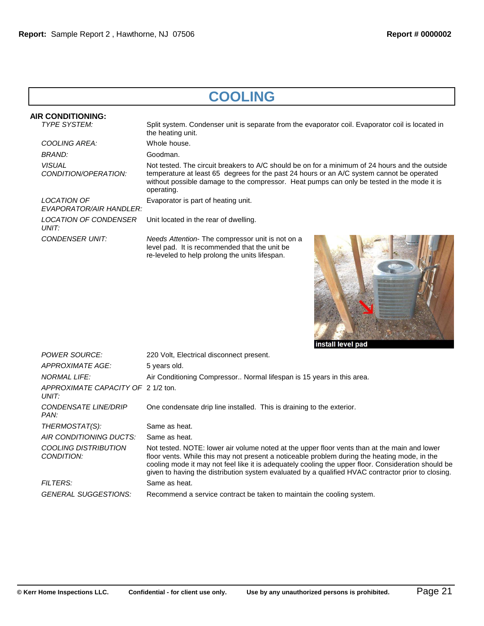# **COOLING**

| <b>AIR CONDITIONING:</b>                     |                                                                                                                                                                                                                                                                                                         |
|----------------------------------------------|---------------------------------------------------------------------------------------------------------------------------------------------------------------------------------------------------------------------------------------------------------------------------------------------------------|
| <b>TYPE SYSTEM:</b>                          | Split system. Condenser unit is separate from the evaporator coil. Evaporator coil is located in<br>the heating unit.                                                                                                                                                                                   |
| COOLING AREA:                                | Whole house.                                                                                                                                                                                                                                                                                            |
| BRAND:                                       | Goodman.                                                                                                                                                                                                                                                                                                |
| <i><b>VISUAL</b></i><br>CONDITION/OPERATION: | Not tested. The circuit breakers to A/C should be on for a minimum of 24 hours and the outside<br>temperature at least 65 degrees for the past 24 hours or an A/C system cannot be operated<br>without possible damage to the compressor. Heat pumps can only be tested in the mode it is<br>operating. |
| LOCATION OF<br>EVAPORATOR/AIR HANDLER:       | Evaporator is part of heating unit.                                                                                                                                                                                                                                                                     |
| <b>LOCATION OF CONDENSER</b><br>UNIT:        | Unit located in the rear of dwelling.                                                                                                                                                                                                                                                                   |
| CONDENSER UNIT:                              | Needs Attention-The compressor unit is not on a<br>level pad. It is recommended that the unit be<br>re-leveled to help prolong the units lifespan.                                                                                                                                                      |



| <b>NORMAL LIFE:</b>                         | Air Conditioning Compressor Normal lifespan is 15 years in this area.                                                                                                                                                                                                                                                                                                                                     |
|---------------------------------------------|-----------------------------------------------------------------------------------------------------------------------------------------------------------------------------------------------------------------------------------------------------------------------------------------------------------------------------------------------------------------------------------------------------------|
| APPROXIMATE CAPACITY OF 2 1/2 ton.<br>UNIT: |                                                                                                                                                                                                                                                                                                                                                                                                           |
| CONDENSATE LINE/DRIP<br>PAN:                | One condensate drip line installed. This is draining to the exterior.                                                                                                                                                                                                                                                                                                                                     |
| THERMOSTAT(S):                              | Same as heat.                                                                                                                                                                                                                                                                                                                                                                                             |
| AIR CONDITIONING DUCTS:                     | Same as heat.                                                                                                                                                                                                                                                                                                                                                                                             |
| <b>COOLING DISTRIBUTION</b><br>CONDITION:   | Not tested. NOTE: lower air volume noted at the upper floor vents than at the main and lower<br>floor vents. While this may not present a noticeable problem during the heating mode, in the<br>cooling mode it may not feel like it is adequately cooling the upper floor. Consideration should be<br>given to having the distribution system evaluated by a qualified HVAC contractor prior to closing. |
| <b>FILTERS:</b>                             | Same as heat.                                                                                                                                                                                                                                                                                                                                                                                             |
| <b>GENERAL SUGGESTIONS:</b>                 | Recommend a service contract be taken to maintain the cooling system.                                                                                                                                                                                                                                                                                                                                     |
|                                             |                                                                                                                                                                                                                                                                                                                                                                                                           |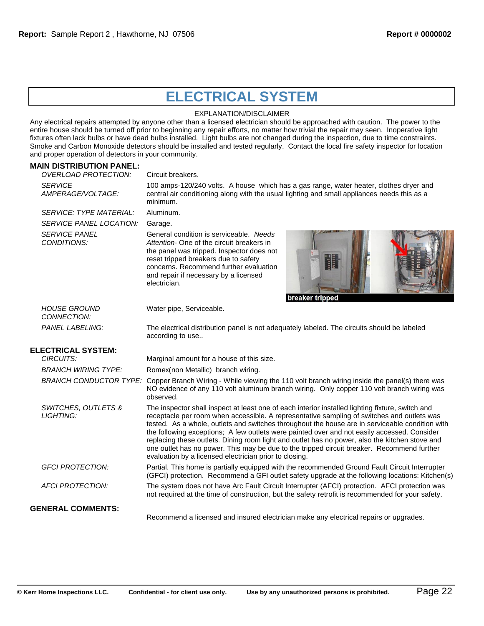# **ELECTRICAL SYSTEM**

### EXPLANATION/DISCLAIMER

Any electrical repairs attempted by anyone other than a licensed electrician should be approached with caution. The power to the entire house should be turned off prior to beginning any repair efforts, no matter how trivial the repair may seen. Inoperative light fixtures often lack bulbs or have dead bulbs installed. Light bulbs are not changed during the inspection, due to time constraints. Smoke and Carbon Monoxide detectors should be installed and tested regularly. Contact the local fire safety inspector for location and proper operation of detectors in your community.

### **MAIN DISTRIBUTION PANEL:**

| <b>OVERLOAD PROTECTION:</b>         | Circuit breakers.                                                                                                                                                                                                                                                                                                                                                                                                                                                                                                                                                                                                                                          |
|-------------------------------------|------------------------------------------------------------------------------------------------------------------------------------------------------------------------------------------------------------------------------------------------------------------------------------------------------------------------------------------------------------------------------------------------------------------------------------------------------------------------------------------------------------------------------------------------------------------------------------------------------------------------------------------------------------|
| <b>SERVICE</b><br>AMPERAGE/VOLTAGE: | 100 amps-120/240 volts. A house which has a gas range, water heater, clothes dryer and<br>central air conditioning along with the usual lighting and small appliances needs this as a<br>minimum.                                                                                                                                                                                                                                                                                                                                                                                                                                                          |
| <b>SERVICE: TYPE MATERIAL:</b>      | Aluminum.                                                                                                                                                                                                                                                                                                                                                                                                                                                                                                                                                                                                                                                  |
| SERVICE PANEL LOCATION:             | Garage.                                                                                                                                                                                                                                                                                                                                                                                                                                                                                                                                                                                                                                                    |
| <b>SERVICE PANEL</b><br>CONDITIONS: | General condition is serviceable. Needs<br>Attention- One of the circuit breakers in<br>the panel was tripped. Inspector does not<br>H<br>reset tripped breakers due to safety<br>concerns. Recommend further evaluation<br>and repair if necessary by a licensed<br>electrician.<br>breaker tripped                                                                                                                                                                                                                                                                                                                                                       |
| <i>HOUSE GROUND</i><br>CONNECTION:  | Water pipe, Serviceable.                                                                                                                                                                                                                                                                                                                                                                                                                                                                                                                                                                                                                                   |
| <b>PANEL LABELING:</b>              | The electrical distribution panel is not adequately labeled. The circuits should be labeled<br>according to use                                                                                                                                                                                                                                                                                                                                                                                                                                                                                                                                            |
| <b>ELECTRICAL SYSTEM:</b>           |                                                                                                                                                                                                                                                                                                                                                                                                                                                                                                                                                                                                                                                            |
| CIRCUITS:                           | Marginal amount for a house of this size.                                                                                                                                                                                                                                                                                                                                                                                                                                                                                                                                                                                                                  |
| <b>BRANCH WIRING TYPE:</b>          | Romex(non Metallic) branch wiring.                                                                                                                                                                                                                                                                                                                                                                                                                                                                                                                                                                                                                         |
|                                     | BRANCH CONDUCTOR TYPE: Copper Branch Wiring - While viewing the 110 volt branch wiring inside the panel(s) there was<br>NO evidence of any 110 volt aluminum branch wiring. Only copper 110 volt branch wiring was<br>observed.                                                                                                                                                                                                                                                                                                                                                                                                                            |
| SWITCHES, OUTLETS &<br>LIGHTING:    | The inspector shall inspect at least one of each interior installed lighting fixture, switch and<br>receptacle per room when accessible. A representative sampling of switches and outlets was<br>tested. As a whole, outlets and switches throughout the house are in serviceable condition with<br>the following exceptions; A few outlets were painted over and not easily accessed. Consider<br>replacing these outlets. Dining room light and outlet has no power, also the kitchen stove and<br>one outlet has no power. This may be due to the tripped circuit breaker. Recommend further<br>evaluation by a licensed electrician prior to closing. |
| <b>GFCI PROTECTION:</b>             | Partial. This home is partially equipped with the recommended Ground Fault Circuit Interrupter<br>(GFCI) protection. Recommend a GFI outlet safety upgrade at the following locations: Kitchen(s)                                                                                                                                                                                                                                                                                                                                                                                                                                                          |
| <b>AFCI PROTECTION:</b>             | The system does not have Arc Fault Circuit Interrupter (AFCI) protection. AFCI protection was<br>not required at the time of construction, but the safety retrofit is recommended for your safety.                                                                                                                                                                                                                                                                                                                                                                                                                                                         |
| <b>GENERAL COMMENTS:</b>            | Recommend a licensed and insured electrician make any electrical repairs or upgrades.                                                                                                                                                                                                                                                                                                                                                                                                                                                                                                                                                                      |